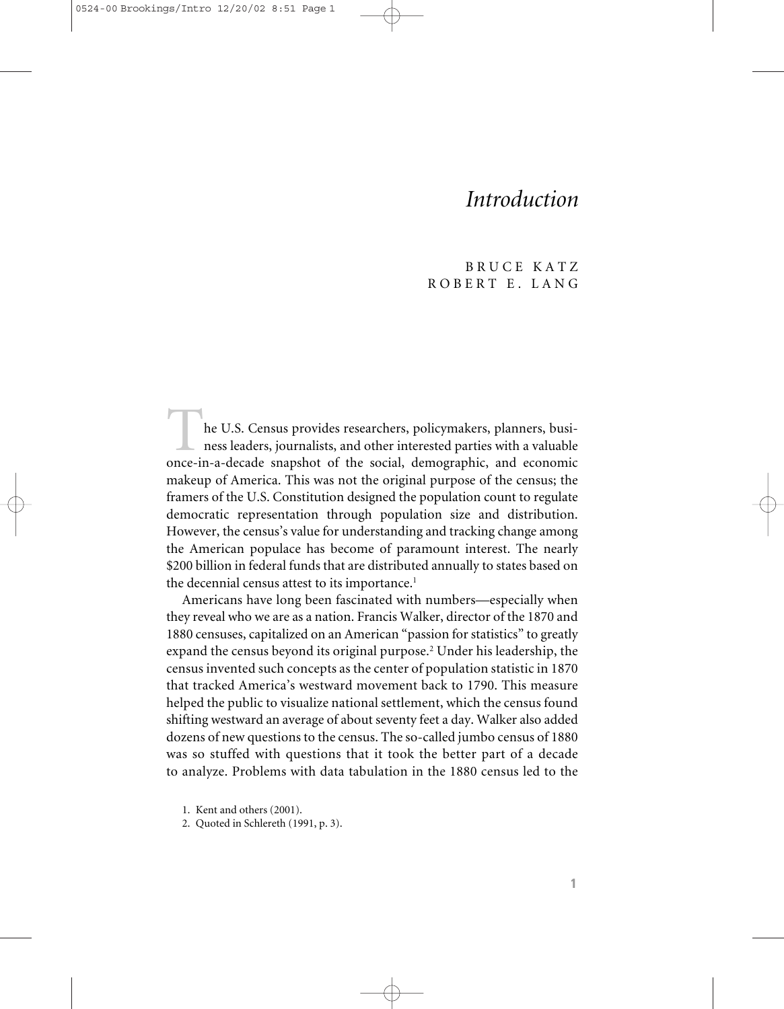# *Introduction*

# BRUCE KATZ ROBERT E. LANG

The U.S. Census provides researchers, policymakers, planners, business leaders, journalists, and other interested parties with a valuable<br>once-in-a-decade, spanshot, of the social demographic, and economic ness leaders, journalists, and other interested parties with a valuable once-in-a-decade snapshot of the social, demographic, and economic makeup of America. This was not the original purpose of the census; the framers of the U.S. Constitution designed the population count to regulate democratic representation through population size and distribution. However, the census's value for understanding and tracking change among the American populace has become of paramount interest. The nearly \$200 billion in federal funds that are distributed annually to states based on the decennial census attest to its importance.<sup>1</sup>

Americans have long been fascinated with numbers—especially when they reveal who we are as a nation. Francis Walker, director of the 1870 and 1880 censuses, capitalized on an American "passion for statistics" to greatly expand the census beyond its original purpose.2 Under his leadership, the census invented such concepts as the center of population statistic in 1870 that tracked America's westward movement back to 1790. This measure helped the public to visualize national settlement, which the census found shifting westward an average of about seventy feet a day. Walker also added dozens of new questions to the census. The so-called jumbo census of 1880 was so stuffed with questions that it took the better part of a decade to analyze. Problems with data tabulation in the 1880 census led to the

<sup>1.</sup> Kent and others (2001).

<sup>2.</sup> Quoted in Schlereth (1991, p. 3).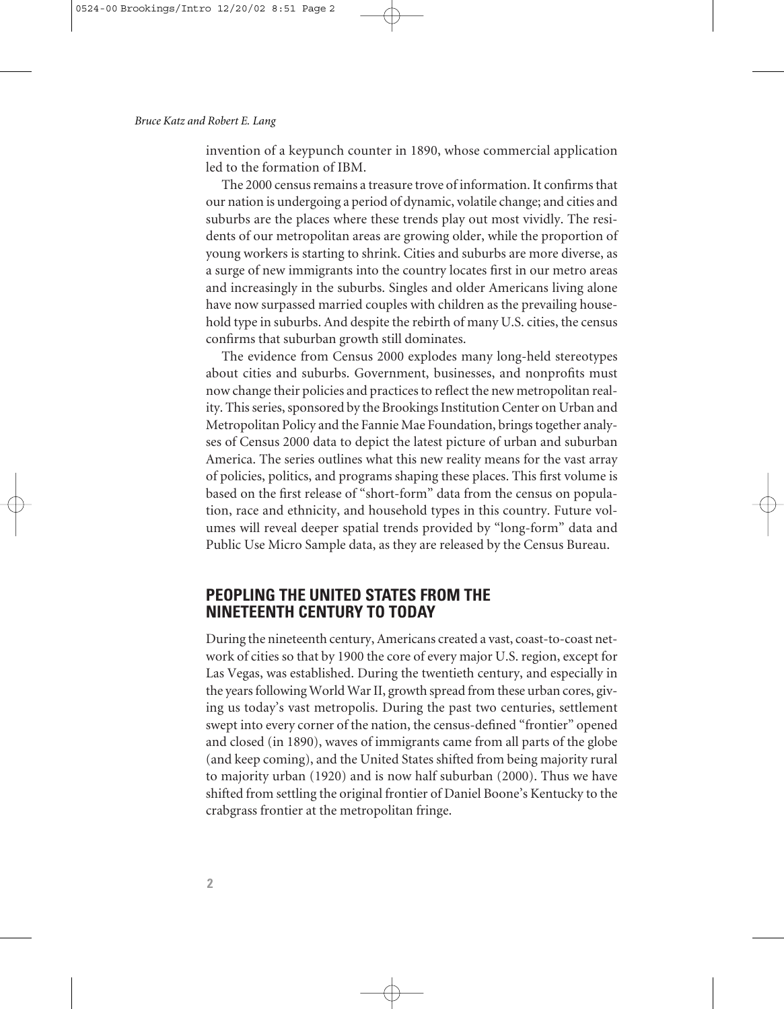invention of a keypunch counter in 1890, whose commercial application led to the formation of IBM.

The 2000 census remains a treasure trove of information. It confirms that our nation is undergoing a period of dynamic, volatile change; and cities and suburbs are the places where these trends play out most vividly. The residents of our metropolitan areas are growing older, while the proportion of young workers is starting to shrink. Cities and suburbs are more diverse, as a surge of new immigrants into the country locates first in our metro areas and increasingly in the suburbs. Singles and older Americans living alone have now surpassed married couples with children as the prevailing household type in suburbs. And despite the rebirth of many U.S. cities, the census confirms that suburban growth still dominates.

The evidence from Census 2000 explodes many long-held stereotypes about cities and suburbs. Government, businesses, and nonprofits must now change their policies and practices to reflect the new metropolitan reality. This series, sponsored by the Brookings Institution Center on Urban and Metropolitan Policy and the Fannie Mae Foundation, brings together analyses of Census 2000 data to depict the latest picture of urban and suburban America. The series outlines what this new reality means for the vast array of policies, politics, and programs shaping these places. This first volume is based on the first release of "short-form" data from the census on population, race and ethnicity, and household types in this country. Future volumes will reveal deeper spatial trends provided by "long-form" data and Public Use Micro Sample data, as they are released by the Census Bureau.

# **PEOPLING THE UNITED STATES FROM THE NINETEENTH CENTURY TO TODAY**

During the nineteenth century, Americans created a vast, coast-to-coast network of cities so that by 1900 the core of every major U.S. region, except for Las Vegas, was established. During the twentieth century, and especially in the years following World War II, growth spread from these urban cores, giving us today's vast metropolis. During the past two centuries, settlement swept into every corner of the nation, the census-defined "frontier" opened and closed (in 1890), waves of immigrants came from all parts of the globe (and keep coming), and the United States shifted from being majority rural to majority urban (1920) and is now half suburban (2000). Thus we have shifted from settling the original frontier of Daniel Boone's Kentucky to the crabgrass frontier at the metropolitan fringe.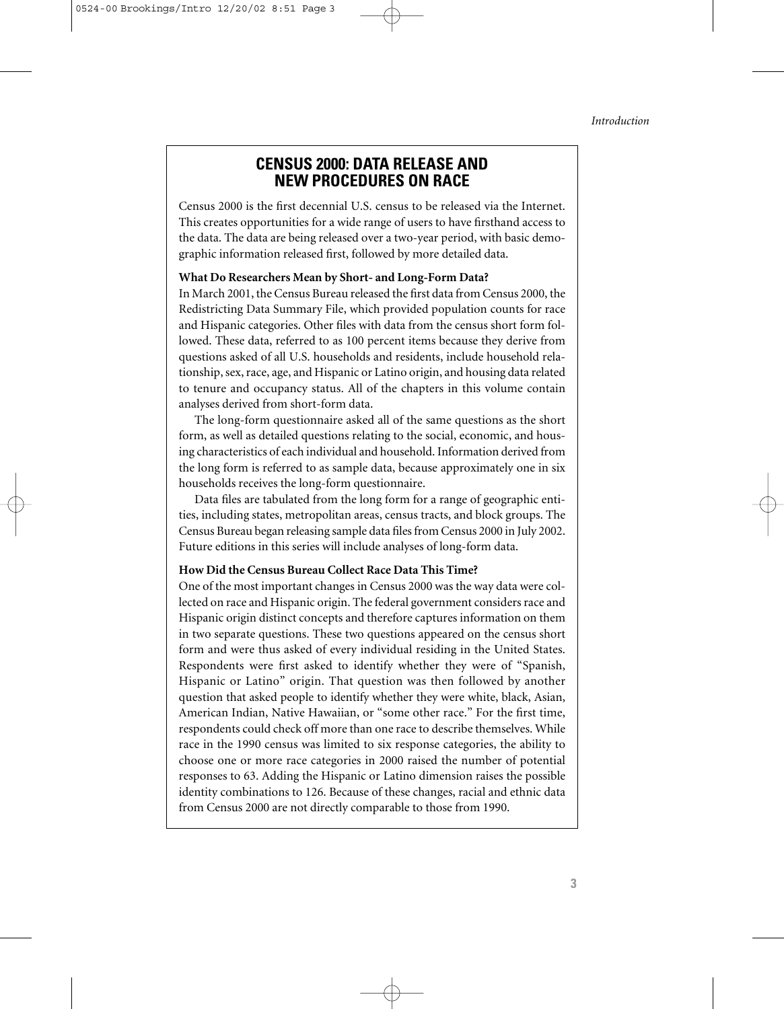# **CENSUS 2000: DATA RELEASE AND NEW PROCEDURES ON RACE**

Census 2000 is the first decennial U.S. census to be released via the Internet. This creates opportunities for a wide range of users to have firsthand access to the data. The data are being released over a two-year period, with basic demographic information released first, followed by more detailed data.

#### **What Do Researchers Mean by Short- and Long-Form Data?**

In March 2001, the Census Bureau released the first data from Census 2000, the Redistricting Data Summary File, which provided population counts for race and Hispanic categories. Other files with data from the census short form followed. These data, referred to as 100 percent items because they derive from questions asked of all U.S. households and residents, include household relationship, sex, race, age, and Hispanic or Latino origin, and housing data related to tenure and occupancy status. All of the chapters in this volume contain analyses derived from short-form data.

The long-form questionnaire asked all of the same questions as the short form, as well as detailed questions relating to the social, economic, and housing characteristics of each individual and household. Information derived from the long form is referred to as sample data, because approximately one in six households receives the long-form questionnaire.

Data files are tabulated from the long form for a range of geographic entities, including states, metropolitan areas, census tracts, and block groups. The Census Bureau began releasing sample data files from Census 2000 in July 2002. Future editions in this series will include analyses of long-form data.

#### **How Did the Census Bureau Collect Race Data This Time?**

One of the most important changes in Census 2000 was the way data were collected on race and Hispanic origin. The federal government considers race and Hispanic origin distinct concepts and therefore captures information on them in two separate questions. These two questions appeared on the census short form and were thus asked of every individual residing in the United States. Respondents were first asked to identify whether they were of "Spanish, Hispanic or Latino" origin. That question was then followed by another question that asked people to identify whether they were white, black, Asian, American Indian, Native Hawaiian, or "some other race." For the first time, respondents could check off more than one race to describe themselves. While race in the 1990 census was limited to six response categories, the ability to choose one or more race categories in 2000 raised the number of potential responses to 63. Adding the Hispanic or Latino dimension raises the possible identity combinations to 126. Because of these changes, racial and ethnic data from Census 2000 are not directly comparable to those from 1990.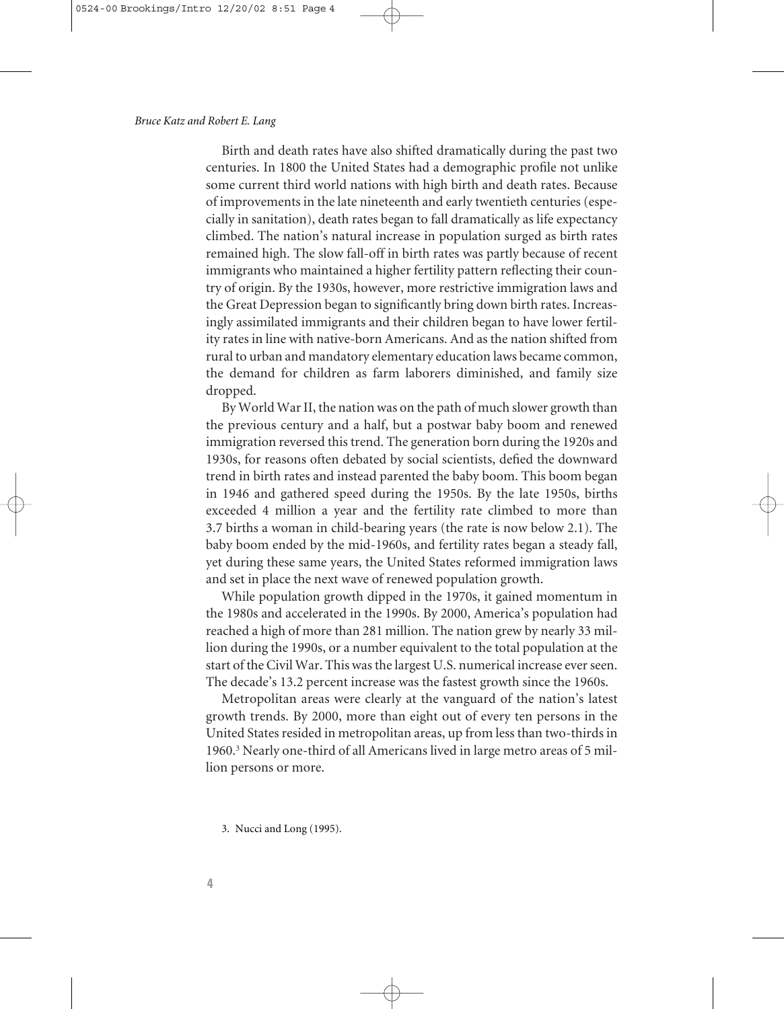Birth and death rates have also shifted dramatically during the past two centuries. In 1800 the United States had a demographic profile not unlike some current third world nations with high birth and death rates. Because of improvements in the late nineteenth and early twentieth centuries (especially in sanitation), death rates began to fall dramatically as life expectancy climbed. The nation's natural increase in population surged as birth rates remained high. The slow fall-off in birth rates was partly because of recent immigrants who maintained a higher fertility pattern reflecting their country of origin. By the 1930s, however, more restrictive immigration laws and the Great Depression began to significantly bring down birth rates. Increasingly assimilated immigrants and their children began to have lower fertility rates in line with native-born Americans. And as the nation shifted from rural to urban and mandatory elementary education laws became common, the demand for children as farm laborers diminished, and family size dropped.

By World War II, the nation was on the path of much slower growth than the previous century and a half, but a postwar baby boom and renewed immigration reversed this trend. The generation born during the 1920s and 1930s, for reasons often debated by social scientists, defied the downward trend in birth rates and instead parented the baby boom. This boom began in 1946 and gathered speed during the 1950s. By the late 1950s, births exceeded 4 million a year and the fertility rate climbed to more than 3.7 births a woman in child-bearing years (the rate is now below 2.1). The baby boom ended by the mid-1960s, and fertility rates began a steady fall, yet during these same years, the United States reformed immigration laws and set in place the next wave of renewed population growth.

While population growth dipped in the 1970s, it gained momentum in the 1980s and accelerated in the 1990s. By 2000, America's population had reached a high of more than 281 million. The nation grew by nearly 33 million during the 1990s, or a number equivalent to the total population at the start of the Civil War. This was the largest U.S. numerical increase ever seen. The decade's 13.2 percent increase was the fastest growth since the 1960s.

Metropolitan areas were clearly at the vanguard of the nation's latest growth trends. By 2000, more than eight out of every ten persons in the United States resided in metropolitan areas, up from less than two-thirds in 1960.3 Nearly one-third of all Americans lived in large metro areas of 5 million persons or more.

3. Nucci and Long (1995).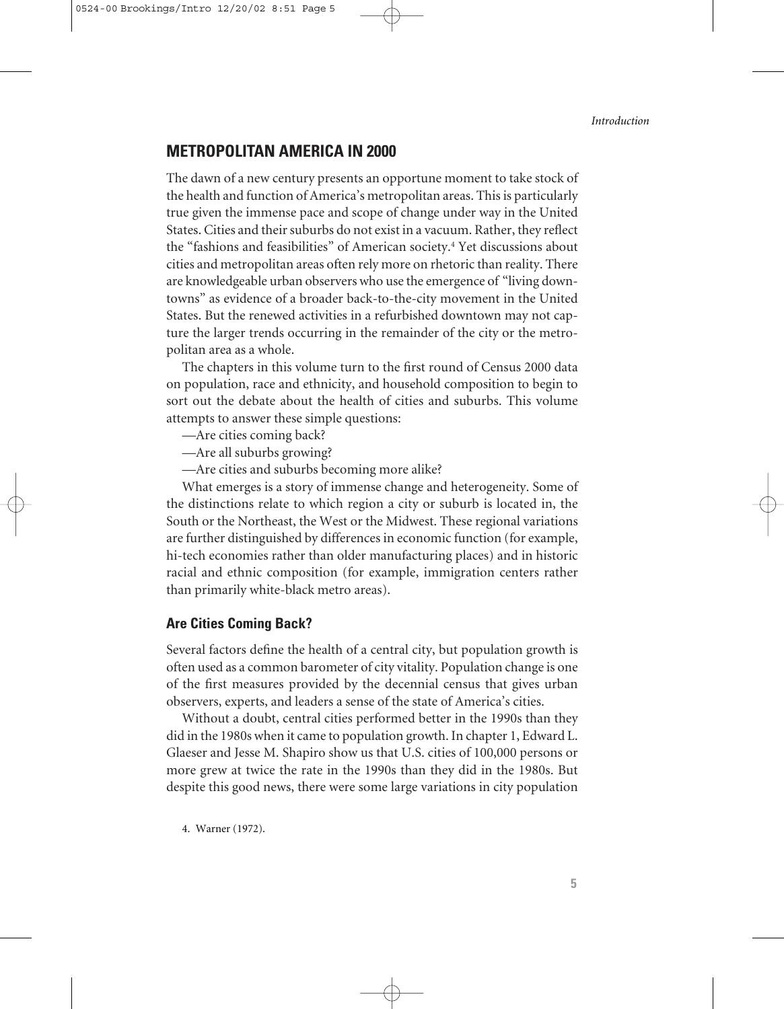# **METROPOLITAN AMERICA IN 2000**

The dawn of a new century presents an opportune moment to take stock of the health and function of America's metropolitan areas. This is particularly true given the immense pace and scope of change under way in the United States. Cities and their suburbs do not exist in a vacuum. Rather, they reflect the "fashions and feasibilities" of American society.4 Yet discussions about cities and metropolitan areas often rely more on rhetoric than reality. There are knowledgeable urban observers who use the emergence of "living downtowns" as evidence of a broader back-to-the-city movement in the United States. But the renewed activities in a refurbished downtown may not capture the larger trends occurring in the remainder of the city or the metropolitan area as a whole.

The chapters in this volume turn to the first round of Census 2000 data on population, race and ethnicity, and household composition to begin to sort out the debate about the health of cities and suburbs. This volume attempts to answer these simple questions:

—Are cities coming back?

—Are all suburbs growing?

—Are cities and suburbs becoming more alike?

What emerges is a story of immense change and heterogeneity. Some of the distinctions relate to which region a city or suburb is located in, the South or the Northeast, the West or the Midwest. These regional variations are further distinguished by differences in economic function (for example, hi-tech economies rather than older manufacturing places) and in historic racial and ethnic composition (for example, immigration centers rather than primarily white-black metro areas).

### **Are Cities Coming Back?**

Several factors define the health of a central city, but population growth is often used as a common barometer of city vitality. Population change is one of the first measures provided by the decennial census that gives urban observers, experts, and leaders a sense of the state of America's cities.

Without a doubt, central cities performed better in the 1990s than they did in the 1980s when it came to population growth. In chapter 1, Edward L. Glaeser and Jesse M. Shapiro show us that U.S. cities of 100,000 persons or more grew at twice the rate in the 1990s than they did in the 1980s. But despite this good news, there were some large variations in city population

4. Warner (1972).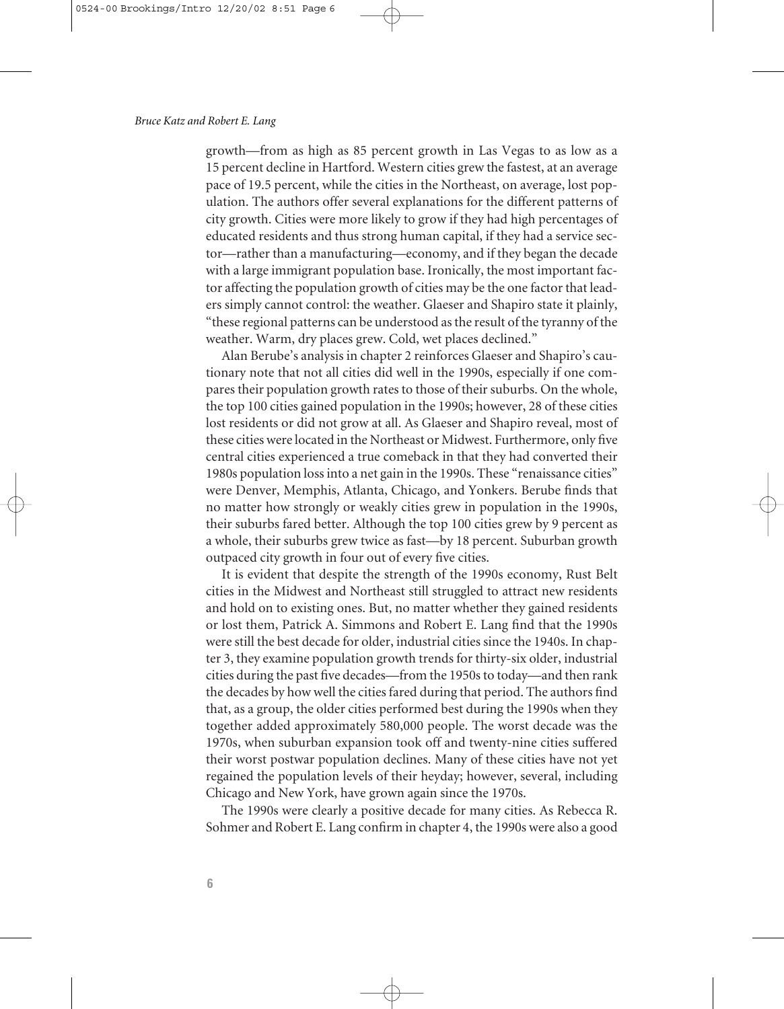growth—from as high as 85 percent growth in Las Vegas to as low as a 15 percent decline in Hartford. Western cities grew the fastest, at an average pace of 19.5 percent, while the cities in the Northeast, on average, lost population. The authors offer several explanations for the different patterns of city growth. Cities were more likely to grow if they had high percentages of educated residents and thus strong human capital, if they had a service sector—rather than a manufacturing—economy, and if they began the decade with a large immigrant population base. Ironically, the most important factor affecting the population growth of cities may be the one factor that leaders simply cannot control: the weather. Glaeser and Shapiro state it plainly, "these regional patterns can be understood as the result of the tyranny of the weather. Warm, dry places grew. Cold, wet places declined."

Alan Berube's analysis in chapter 2 reinforces Glaeser and Shapiro's cautionary note that not all cities did well in the 1990s, especially if one compares their population growth rates to those of their suburbs. On the whole, the top 100 cities gained population in the 1990s; however, 28 of these cities lost residents or did not grow at all. As Glaeser and Shapiro reveal, most of these cities were located in the Northeast or Midwest. Furthermore, only five central cities experienced a true comeback in that they had converted their 1980s population loss into a net gain in the 1990s. These "renaissance cities" were Denver, Memphis, Atlanta, Chicago, and Yonkers. Berube finds that no matter how strongly or weakly cities grew in population in the 1990s, their suburbs fared better. Although the top 100 cities grew by 9 percent as a whole, their suburbs grew twice as fast—by 18 percent. Suburban growth outpaced city growth in four out of every five cities.

It is evident that despite the strength of the 1990s economy, Rust Belt cities in the Midwest and Northeast still struggled to attract new residents and hold on to existing ones. But, no matter whether they gained residents or lost them, Patrick A. Simmons and Robert E. Lang find that the 1990s were still the best decade for older, industrial cities since the 1940s. In chapter 3, they examine population growth trends for thirty-six older, industrial cities during the past five decades—from the 1950s to today—and then rank the decades by how well the cities fared during that period. The authors find that, as a group, the older cities performed best during the 1990s when they together added approximately 580,000 people. The worst decade was the 1970s, when suburban expansion took off and twenty-nine cities suffered their worst postwar population declines. Many of these cities have not yet regained the population levels of their heyday; however, several, including Chicago and New York, have grown again since the 1970s.

The 1990s were clearly a positive decade for many cities. As Rebecca R. Sohmer and Robert E. Lang confirm in chapter 4, the 1990s were also a good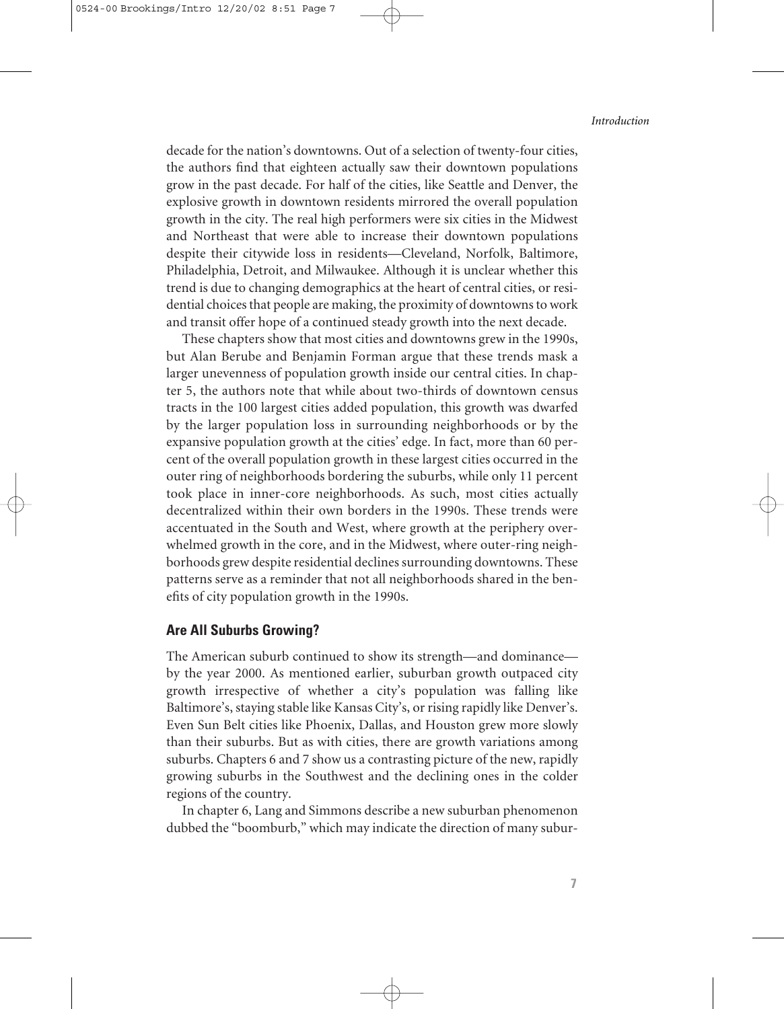decade for the nation's downtowns. Out of a selection of twenty-four cities, the authors find that eighteen actually saw their downtown populations grow in the past decade. For half of the cities, like Seattle and Denver, the explosive growth in downtown residents mirrored the overall population growth in the city. The real high performers were six cities in the Midwest and Northeast that were able to increase their downtown populations despite their citywide loss in residents—Cleveland, Norfolk, Baltimore, Philadelphia, Detroit, and Milwaukee. Although it is unclear whether this trend is due to changing demographics at the heart of central cities, or residential choices that people are making, the proximity of downtowns to work and transit offer hope of a continued steady growth into the next decade.

These chapters show that most cities and downtowns grew in the 1990s, but Alan Berube and Benjamin Forman argue that these trends mask a larger unevenness of population growth inside our central cities. In chapter 5, the authors note that while about two-thirds of downtown census tracts in the 100 largest cities added population, this growth was dwarfed by the larger population loss in surrounding neighborhoods or by the expansive population growth at the cities' edge. In fact, more than 60 percent of the overall population growth in these largest cities occurred in the outer ring of neighborhoods bordering the suburbs, while only 11 percent took place in inner-core neighborhoods. As such, most cities actually decentralized within their own borders in the 1990s. These trends were accentuated in the South and West, where growth at the periphery overwhelmed growth in the core, and in the Midwest, where outer-ring neighborhoods grew despite residential declines surrounding downtowns. These patterns serve as a reminder that not all neighborhoods shared in the benefits of city population growth in the 1990s.

#### **Are All Suburbs Growing?**

The American suburb continued to show its strength—and dominance by the year 2000. As mentioned earlier, suburban growth outpaced city growth irrespective of whether a city's population was falling like Baltimore's, staying stable like Kansas City's, or rising rapidly like Denver's. Even Sun Belt cities like Phoenix, Dallas, and Houston grew more slowly than their suburbs. But as with cities, there are growth variations among suburbs. Chapters 6 and 7 show us a contrasting picture of the new, rapidly growing suburbs in the Southwest and the declining ones in the colder regions of the country.

In chapter 6, Lang and Simmons describe a new suburban phenomenon dubbed the "boomburb," which may indicate the direction of many subur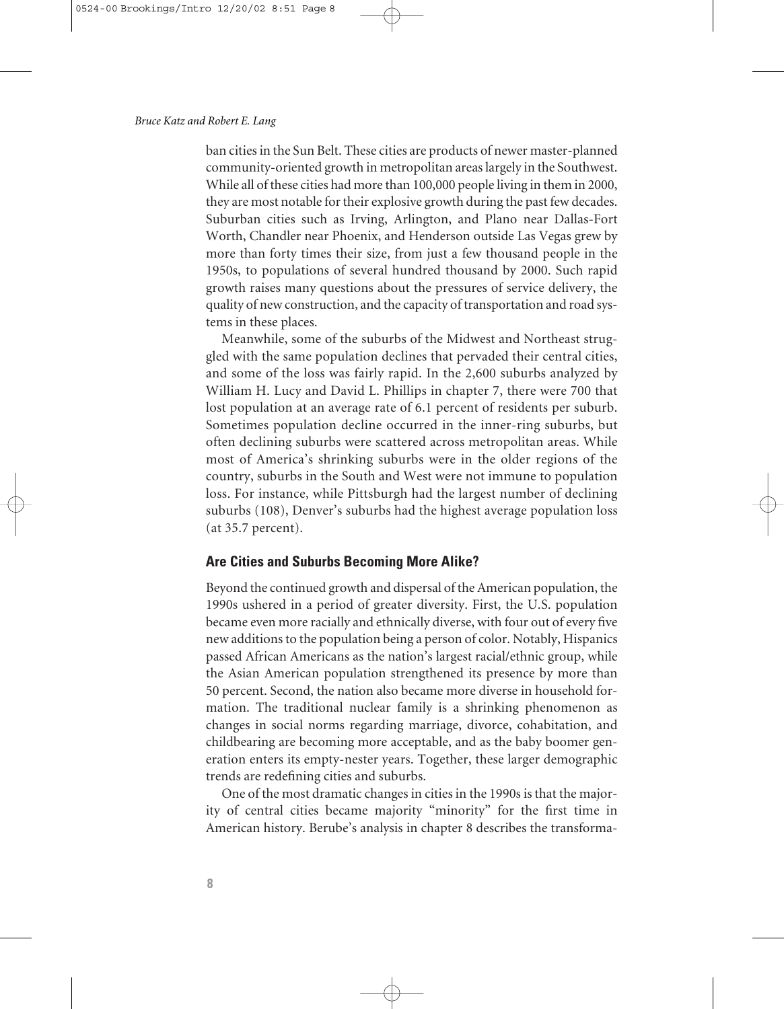ban cities in the Sun Belt. These cities are products of newer master-planned community-oriented growth in metropolitan areas largely in the Southwest. While all of these cities had more than 100,000 people living in them in 2000, they are most notable for their explosive growth during the past few decades. Suburban cities such as Irving, Arlington, and Plano near Dallas-Fort Worth, Chandler near Phoenix, and Henderson outside Las Vegas grew by more than forty times their size, from just a few thousand people in the 1950s, to populations of several hundred thousand by 2000. Such rapid growth raises many questions about the pressures of service delivery, the quality of new construction, and the capacity of transportation and road systems in these places.

Meanwhile, some of the suburbs of the Midwest and Northeast struggled with the same population declines that pervaded their central cities, and some of the loss was fairly rapid. In the 2,600 suburbs analyzed by William H. Lucy and David L. Phillips in chapter 7, there were 700 that lost population at an average rate of 6.1 percent of residents per suburb. Sometimes population decline occurred in the inner-ring suburbs, but often declining suburbs were scattered across metropolitan areas. While most of America's shrinking suburbs were in the older regions of the country, suburbs in the South and West were not immune to population loss. For instance, while Pittsburgh had the largest number of declining suburbs (108), Denver's suburbs had the highest average population loss (at 35.7 percent).

#### **Are Cities and Suburbs Becoming More Alike?**

Beyond the continued growth and dispersal of the American population, the 1990s ushered in a period of greater diversity. First, the U.S. population became even more racially and ethnically diverse, with four out of every five new additions to the population being a person of color. Notably, Hispanics passed African Americans as the nation's largest racial/ethnic group, while the Asian American population strengthened its presence by more than 50 percent. Second, the nation also became more diverse in household formation. The traditional nuclear family is a shrinking phenomenon as changes in social norms regarding marriage, divorce, cohabitation, and childbearing are becoming more acceptable, and as the baby boomer generation enters its empty-nester years. Together, these larger demographic trends are redefining cities and suburbs.

One of the most dramatic changes in cities in the 1990s is that the majority of central cities became majority "minority" for the first time in American history. Berube's analysis in chapter 8 describes the transforma-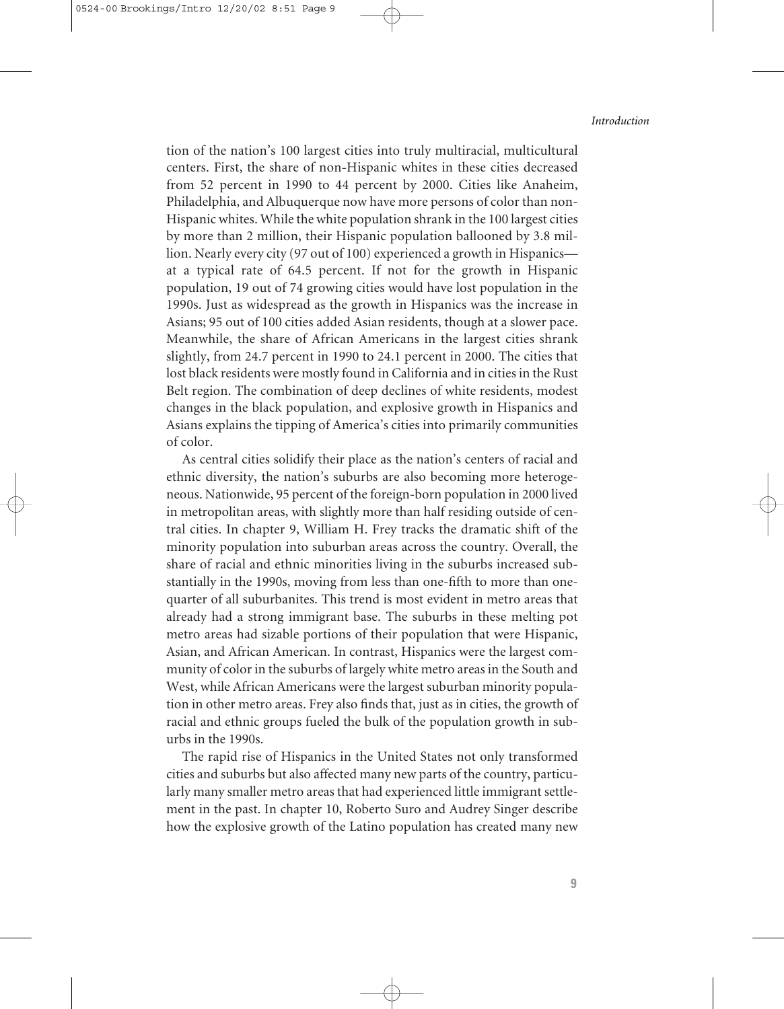tion of the nation's 100 largest cities into truly multiracial, multicultural centers. First, the share of non-Hispanic whites in these cities decreased from 52 percent in 1990 to 44 percent by 2000. Cities like Anaheim, Philadelphia, and Albuquerque now have more persons of color than non-Hispanic whites. While the white population shrank in the 100 largest cities by more than 2 million, their Hispanic population ballooned by 3.8 million. Nearly every city (97 out of 100) experienced a growth in Hispanics at a typical rate of 64.5 percent. If not for the growth in Hispanic population, 19 out of 74 growing cities would have lost population in the 1990s. Just as widespread as the growth in Hispanics was the increase in Asians; 95 out of 100 cities added Asian residents, though at a slower pace. Meanwhile, the share of African Americans in the largest cities shrank slightly, from 24.7 percent in 1990 to 24.1 percent in 2000. The cities that lost black residents were mostly found in California and in cities in the Rust Belt region. The combination of deep declines of white residents, modest changes in the black population, and explosive growth in Hispanics and Asians explains the tipping of America's cities into primarily communities of color.

As central cities solidify their place as the nation's centers of racial and ethnic diversity, the nation's suburbs are also becoming more heterogeneous. Nationwide, 95 percent of the foreign-born population in 2000 lived in metropolitan areas, with slightly more than half residing outside of central cities. In chapter 9, William H. Frey tracks the dramatic shift of the minority population into suburban areas across the country. Overall, the share of racial and ethnic minorities living in the suburbs increased substantially in the 1990s, moving from less than one-fifth to more than onequarter of all suburbanites. This trend is most evident in metro areas that already had a strong immigrant base. The suburbs in these melting pot metro areas had sizable portions of their population that were Hispanic, Asian, and African American. In contrast, Hispanics were the largest community of color in the suburbs of largely white metro areas in the South and West, while African Americans were the largest suburban minority population in other metro areas. Frey also finds that, just as in cities, the growth of racial and ethnic groups fueled the bulk of the population growth in suburbs in the 1990s.

The rapid rise of Hispanics in the United States not only transformed cities and suburbs but also affected many new parts of the country, particularly many smaller metro areas that had experienced little immigrant settlement in the past. In chapter 10, Roberto Suro and Audrey Singer describe how the explosive growth of the Latino population has created many new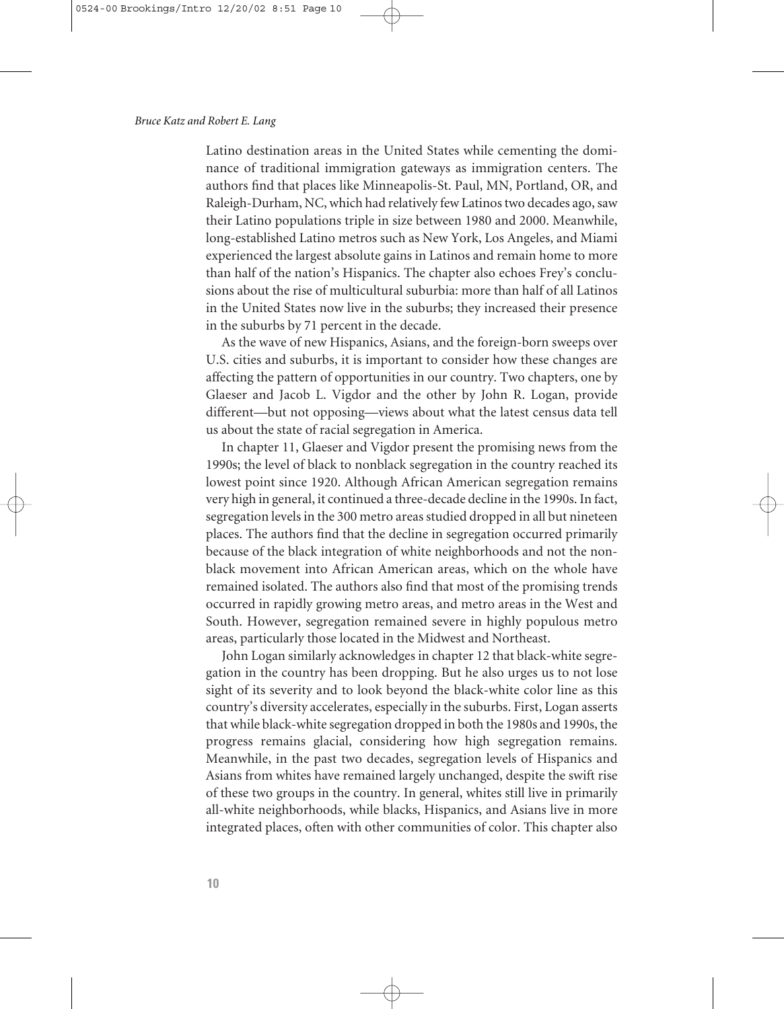Latino destination areas in the United States while cementing the dominance of traditional immigration gateways as immigration centers. The authors find that places like Minneapolis-St. Paul, MN, Portland, OR, and Raleigh-Durham, NC, which had relatively few Latinos two decades ago, saw their Latino populations triple in size between 1980 and 2000. Meanwhile, long-established Latino metros such as New York, Los Angeles, and Miami experienced the largest absolute gains in Latinos and remain home to more than half of the nation's Hispanics. The chapter also echoes Frey's conclusions about the rise of multicultural suburbia: more than half of all Latinos in the United States now live in the suburbs; they increased their presence in the suburbs by 71 percent in the decade.

As the wave of new Hispanics, Asians, and the foreign-born sweeps over U.S. cities and suburbs, it is important to consider how these changes are affecting the pattern of opportunities in our country. Two chapters, one by Glaeser and Jacob L. Vigdor and the other by John R. Logan, provide different—but not opposing—views about what the latest census data tell us about the state of racial segregation in America.

In chapter 11, Glaeser and Vigdor present the promising news from the 1990s; the level of black to nonblack segregation in the country reached its lowest point since 1920. Although African American segregation remains very high in general, it continued a three-decade decline in the 1990s. In fact, segregation levels in the 300 metro areas studied dropped in all but nineteen places. The authors find that the decline in segregation occurred primarily because of the black integration of white neighborhoods and not the nonblack movement into African American areas, which on the whole have remained isolated. The authors also find that most of the promising trends occurred in rapidly growing metro areas, and metro areas in the West and South. However, segregation remained severe in highly populous metro areas, particularly those located in the Midwest and Northeast.

John Logan similarly acknowledges in chapter 12 that black-white segregation in the country has been dropping. But he also urges us to not lose sight of its severity and to look beyond the black-white color line as this country's diversity accelerates, especially in the suburbs. First, Logan asserts that while black-white segregation dropped in both the 1980s and 1990s, the progress remains glacial, considering how high segregation remains. Meanwhile, in the past two decades, segregation levels of Hispanics and Asians from whites have remained largely unchanged, despite the swift rise of these two groups in the country. In general, whites still live in primarily all-white neighborhoods, while blacks, Hispanics, and Asians live in more integrated places, often with other communities of color. This chapter also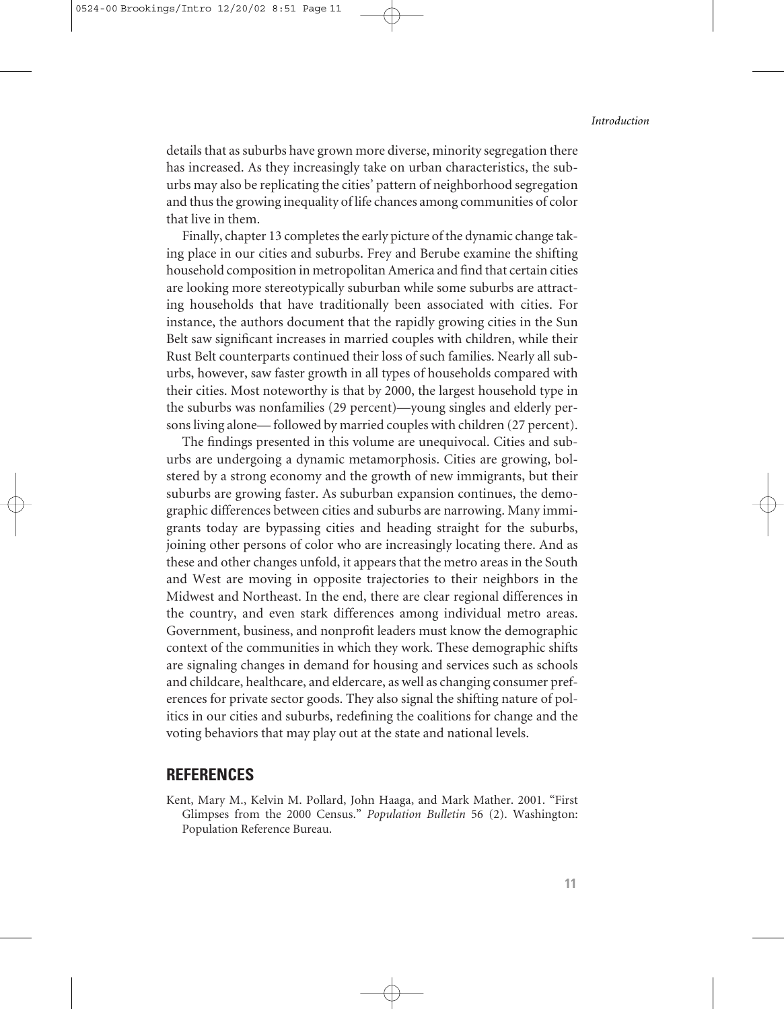details that as suburbs have grown more diverse, minority segregation there has increased. As they increasingly take on urban characteristics, the suburbs may also be replicating the cities' pattern of neighborhood segregation and thus the growing inequality of life chances among communities of color that live in them.

Finally, chapter 13 completes the early picture of the dynamic change taking place in our cities and suburbs. Frey and Berube examine the shifting household composition in metropolitan America and find that certain cities are looking more stereotypically suburban while some suburbs are attracting households that have traditionally been associated with cities. For instance, the authors document that the rapidly growing cities in the Sun Belt saw significant increases in married couples with children, while their Rust Belt counterparts continued their loss of such families. Nearly all suburbs, however, saw faster growth in all types of households compared with their cities. Most noteworthy is that by 2000, the largest household type in the suburbs was nonfamilies (29 percent)—young singles and elderly persons living alone— followed by married couples with children (27 percent).

The findings presented in this volume are unequivocal. Cities and suburbs are undergoing a dynamic metamorphosis. Cities are growing, bolstered by a strong economy and the growth of new immigrants, but their suburbs are growing faster. As suburban expansion continues, the demographic differences between cities and suburbs are narrowing. Many immigrants today are bypassing cities and heading straight for the suburbs, joining other persons of color who are increasingly locating there. And as these and other changes unfold, it appears that the metro areas in the South and West are moving in opposite trajectories to their neighbors in the Midwest and Northeast. In the end, there are clear regional differences in the country, and even stark differences among individual metro areas. Government, business, and nonprofit leaders must know the demographic context of the communities in which they work. These demographic shifts are signaling changes in demand for housing and services such as schools and childcare, healthcare, and eldercare, as well as changing consumer preferences for private sector goods. They also signal the shifting nature of politics in our cities and suburbs, redefining the coalitions for change and the voting behaviors that may play out at the state and national levels.

### **REFERENCES**

Kent, Mary M., Kelvin M. Pollard, John Haaga, and Mark Mather. 2001. "First Glimpses from the 2000 Census." *Population Bulletin* 56 (2). Washington: Population Reference Bureau.